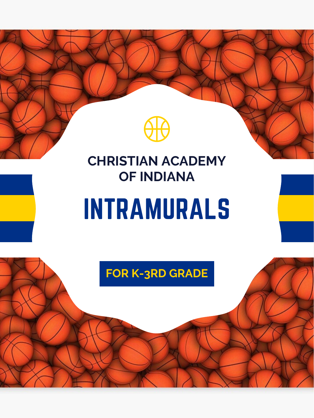

## **FOR K-3RD GRADE**